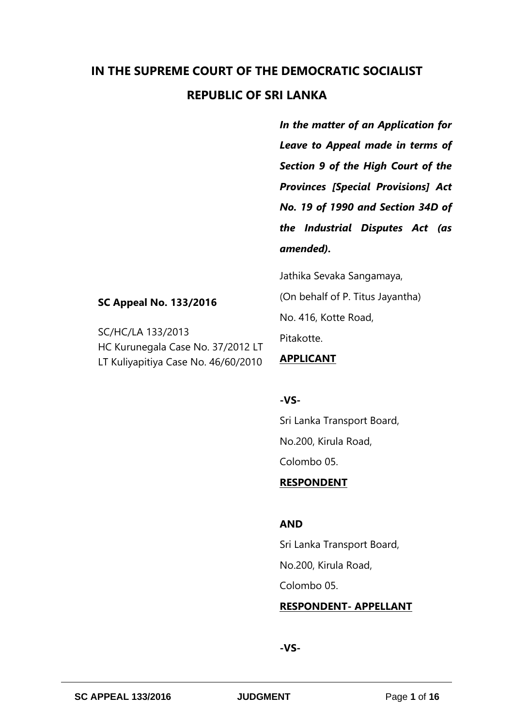# **IN THE SUPREME COURT OF THE DEMOCRATIC SOCIALIST REPUBLIC OF SRI LANKA**

*In the matter of an Application for Leave to Appeal made in terms of Section 9 of the High Court of the Provinces [Special Provisions] Act No. 19 of 1990 and Section 34D of the Industrial Disputes Act (as amended).* 

Jathika Sevaka Sangamaya,

(On behalf of P. Titus Jayantha) No. 416, Kotte Road,

Pitakotte.

### **APPLICANT**

## **-VS-**

Sri Lanka Transport Board, No.200, Kirula Road, Colombo 05.

## **RESPONDENT**

## **AND**

Sri Lanka Transport Board, No.200, Kirula Road, Colombo 05.

#### **RESPONDENT- APPELLANT**

## **-VS-**

**SC Appeal No. 133/2016**

HC Kurunegala Case No. 37/2012 LT LT Kuliyapitiya Case No. 46/60/2010

SC/HC/LA 133/2013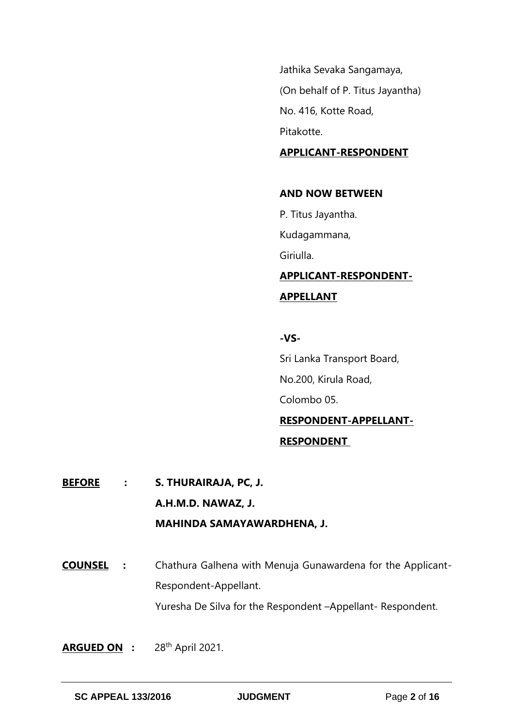Jathika Sevaka Sangamaya, (On behalf of P. Titus Jayantha) No. 416, Kotte Road, Pitakotte.

#### **APPLICANT-RESPONDENT**

#### **AND NOW BETWEEN**

P. Titus Jayantha.

Kudagammana,

Giriulla.

**APPLICANT-RESPONDENT-APPELLANT**

#### **-VS-**

Sri Lanka Transport Board, No.200, Kirula Road, Colombo 05. **RESPONDENT-APPELLANT-**

## **RESPONDENT**

**BEFORE : S. THURAIRAJA, PC, J. A.H.M.D. NAWAZ, J. MAHINDA SAMAYAWARDHENA, J.**

**COUNSEL :** Chathura Galhena with Menuja Gunawardena for the Applicant-Respondent-Appellant. Yuresha De Silva for the Respondent –Appellant- Respondent.

ARGUED ON : 28<sup>th</sup> April 2021.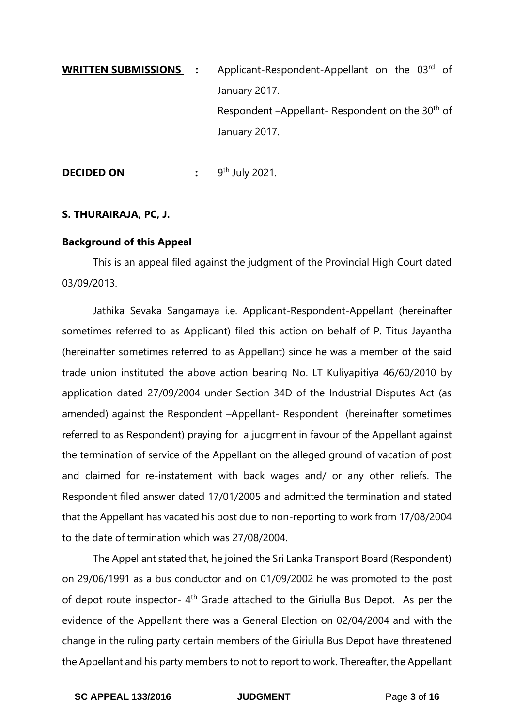**WRITTEN SUBMISSIONS** : Applicant-Respondent-Appellant on the 03<sup>rd</sup> of January 2017. Respondent -Appellant- Respondent on the 30<sup>th</sup> of January 2017.

**DECIDED ON :** 9<sup>th</sup> July 2021.

## **S. THURAIRAJA, PC, J.**

## **Background of this Appeal**

This is an appeal filed against the judgment of the Provincial High Court dated 03/09/2013.

Jathika Sevaka Sangamaya i.e. Applicant-Respondent-Appellant (hereinafter sometimes referred to as Applicant) filed this action on behalf of P. Titus Jayantha (hereinafter sometimes referred to as Appellant) since he was a member of the said trade union instituted the above action bearing No. LT Kuliyapitiya 46/60/2010 by application dated 27/09/2004 under Section 34D of the Industrial Disputes Act (as amended) against the Respondent –Appellant- Respondent (hereinafter sometimes referred to as Respondent) praying for a judgment in favour of the Appellant against the termination of service of the Appellant on the alleged ground of vacation of post and claimed for re-instatement with back wages and/ or any other reliefs. The Respondent filed answer dated 17/01/2005 and admitted the termination and stated that the Appellant has vacated his post due to non-reporting to work from 17/08/2004 to the date of termination which was 27/08/2004.

The Appellant stated that, he joined the Sri Lanka Transport Board (Respondent) on 29/06/1991 as a bus conductor and on 01/09/2002 he was promoted to the post of depot route inspector-  $4<sup>th</sup>$  Grade attached to the Giriulla Bus Depot. As per the evidence of the Appellant there was a General Election on 02/04/2004 and with the change in the ruling party certain members of the Giriulla Bus Depot have threatened the Appellant and his party members to not to report to work. Thereafter, the Appellant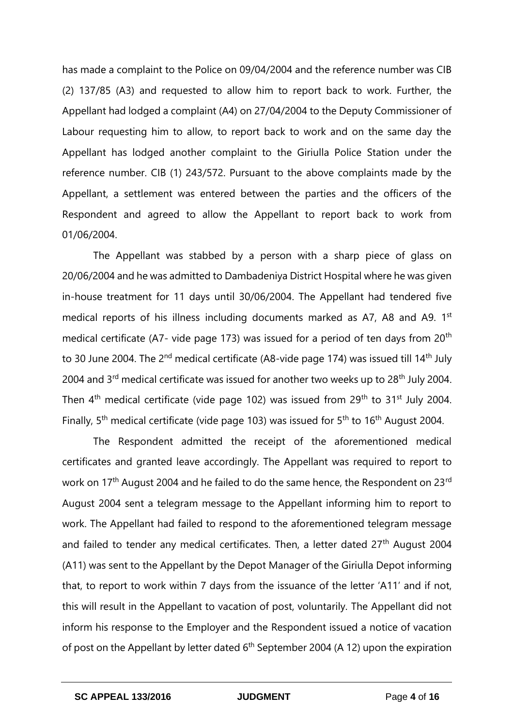has made a complaint to the Police on 09/04/2004 and the reference number was CIB (2) 137/85 (A3) and requested to allow him to report back to work. Further, the Appellant had lodged a complaint (A4) on 27/04/2004 to the Deputy Commissioner of Labour requesting him to allow, to report back to work and on the same day the Appellant has lodged another complaint to the Giriulla Police Station under the reference number. CIB (1) 243/572. Pursuant to the above complaints made by the Appellant, a settlement was entered between the parties and the officers of the Respondent and agreed to allow the Appellant to report back to work from 01/06/2004.

The Appellant was stabbed by a person with a sharp piece of glass on 20/06/2004 and he was admitted to Dambadeniya District Hospital where he was given in-house treatment for 11 days until 30/06/2004. The Appellant had tendered five medical reports of his illness including documents marked as A7, A8 and A9. 1<sup>st</sup> medical certificate (A7- vide page 173) was issued for a period of ten days from 20<sup>th</sup> to 30 June 2004. The 2<sup>nd</sup> medical certificate (A8-vide page 174) was issued till 14<sup>th</sup> July 2004 and 3<sup>rd</sup> medical certificate was issued for another two weeks up to 28<sup>th</sup> July 2004. Then  $4<sup>th</sup>$  medical certificate (vide page 102) was issued from 29<sup>th</sup> to 31<sup>st</sup> July 2004. Finally, 5<sup>th</sup> medical certificate (vide page 103) was issued for 5<sup>th</sup> to 16<sup>th</sup> August 2004.

The Respondent admitted the receipt of the aforementioned medical certificates and granted leave accordingly. The Appellant was required to report to work on 17<sup>th</sup> August 2004 and he failed to do the same hence, the Respondent on 23<sup>rd</sup> August 2004 sent a telegram message to the Appellant informing him to report to work. The Appellant had failed to respond to the aforementioned telegram message and failed to tender any medical certificates. Then, a letter dated 27<sup>th</sup> August 2004 (A11) was sent to the Appellant by the Depot Manager of the Giriulla Depot informing that, to report to work within 7 days from the issuance of the letter 'A11' and if not, this will result in the Appellant to vacation of post, voluntarily. The Appellant did not inform his response to the Employer and the Respondent issued a notice of vacation of post on the Appellant by letter dated  $6<sup>th</sup>$  September 2004 (A 12) upon the expiration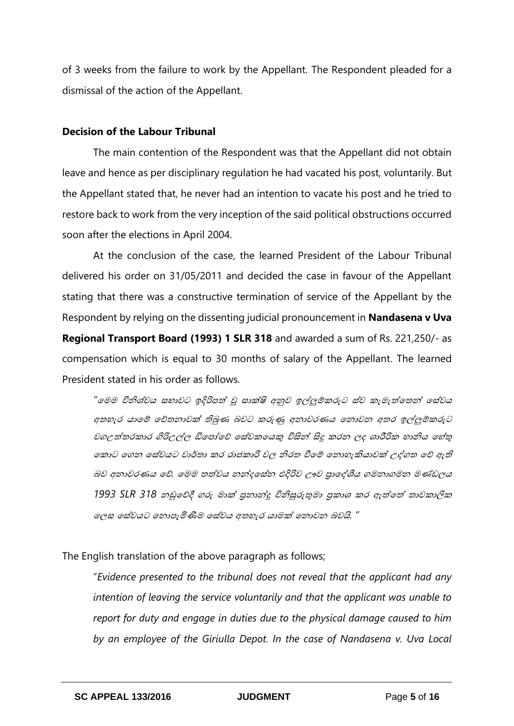of 3 weeks from the failure to work by the Appellant. The Respondent pleaded for a dismissal of the action of the Appellant.

#### **Decision of the Labour Tribunal**

The main contention of the Respondent was that the Appellant did not obtain leave and hence as per disciplinary regulation he had vacated his post, voluntarily. But the Appellant stated that, he never had an intention to vacate his post and he tried to restore back to work from the very inception of the said political obstructions occurred soon after the elections in April 2004.

At the conclusion of the case, the learned President of the Labour Tribunal delivered his order on 31/05/2011 and decided the case in favour of the Appellant stating that there was a constructive termination of service of the Appellant by the Respondent by relying on the dissenting judicial pronouncement in **Nandasena v Uva Regional Transport Board (1993) 1 SLR 318** and awarded a sum of Rs. 221,250/- as compensation which is equal to 30 months of salary of the Appellant. The learned President stated in his order as follows.

*"*මෙෙ විනිශ්චය සභාවට ඉදිරිපත් වූ සාක්ෂි අනුව ඉල්ලුම්කරුට ස්ව කැෙැත්මෙන් මස්වය අතහැර යාමේ චේතනාවක් තිබුණ බවට කරුණු අනාවරණය නොවන අතර ඉල්ලුම්කරුට වගඋත්ෙරකාර ගිරිඋල්ලල ඩිමපෝමේ මස්වකමයකු විසින් සිදු කරන ලද ශාරීරික හානිය මහ්තු මකාට ගෙන සේවයට වාර්තා කර රාජකාරි වල නිරත වීමේ නොහැකියාවක් උද්ගත වේ ඇති බව අනාවරණය මේ*.* මෙෙ ෙත්වය නන්දමස්න එදිරිව ඌව ප්රාමද්ශීය ගෙනාගෙන ෙණ්ඩලය 1993 SLR 318 නඩුවේදී ගරු මාක් පුනාන්දු විනිසුරුතුමා පුකාශ කර ඇත්*තේ තාවකාලික* මලස මස්වයට මනාපැමිණීෙ මස්වය අෙහැර යාෙක්ෂ මනාවන බවයි*. "*

The English translation of the above paragraph as follows;

"*Evidence presented to the tribunal does not reveal that the applicant had any intention of leaving the service voluntarily and that the applicant was unable to report for duty and engage in duties due to the physical damage caused to him by an employee of the Giriulla Depot. In the case of Nandasena v. Uva Local*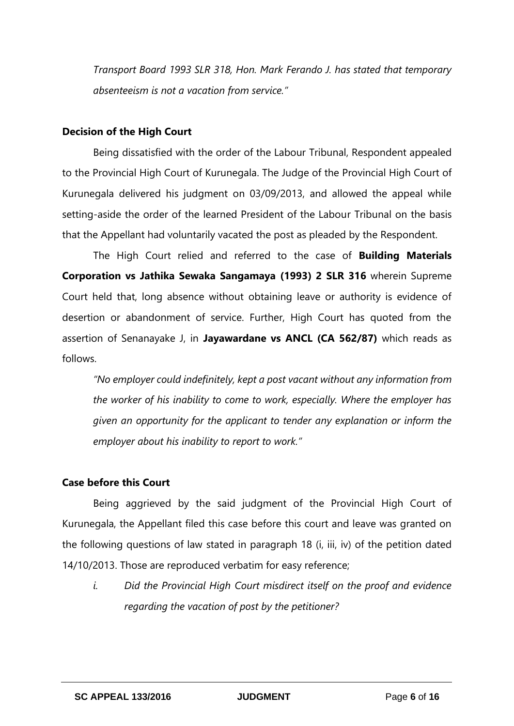*Transport Board 1993 SLR 318, Hon. Mark Ferando J. has stated that temporary absenteeism is not a vacation from service."* 

#### **Decision of the High Court**

Being dissatisfied with the order of the Labour Tribunal, Respondent appealed to the Provincial High Court of Kurunegala. The Judge of the Provincial High Court of Kurunegala delivered his judgment on 03/09/2013, and allowed the appeal while setting-aside the order of the learned President of the Labour Tribunal on the basis that the Appellant had voluntarily vacated the post as pleaded by the Respondent.

The High Court relied and referred to the case of **Building Materials Corporation vs Jathika Sewaka Sangamaya (1993) 2 SLR 316** wherein Supreme Court held that, long absence without obtaining leave or authority is evidence of desertion or abandonment of service. Further, High Court has quoted from the assertion of Senanayake J, in **Jayawardane vs ANCL (CA 562/87)** which reads as follows.

*"No employer could indefinitely, kept a post vacant without any information from the worker of his inability to come to work, especially. Where the employer has given an opportunity for the applicant to tender any explanation or inform the employer about his inability to report to work."*

## **Case before this Court**

Being aggrieved by the said judgment of the Provincial High Court of Kurunegala, the Appellant filed this case before this court and leave was granted on the following questions of law stated in paragraph 18 (i, iii, iv) of the petition dated 14/10/2013. Those are reproduced verbatim for easy reference;

*i. Did the Provincial High Court misdirect itself on the proof and evidence regarding the vacation of post by the petitioner?*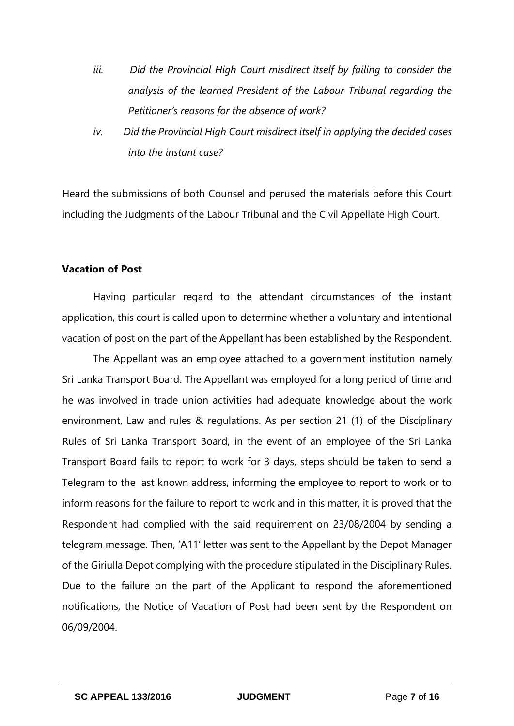- *iii. Did the Provincial High Court misdirect itself by failing to consider the analysis of the learned President of the Labour Tribunal regarding the Petitioner's reasons for the absence of work?*
- *iv. Did the Provincial High Court misdirect itself in applying the decided cases into the instant case?*

Heard the submissions of both Counsel and perused the materials before this Court including the Judgments of the Labour Tribunal and the Civil Appellate High Court.

## **Vacation of Post**

Having particular regard to the attendant circumstances of the instant application, this court is called upon to determine whether a voluntary and intentional vacation of post on the part of the Appellant has been established by the Respondent.

The Appellant was an employee attached to a government institution namely Sri Lanka Transport Board. The Appellant was employed for a long period of time and he was involved in trade union activities had adequate knowledge about the work environment, Law and rules & regulations. As per section 21 (1) of the Disciplinary Rules of Sri Lanka Transport Board, in the event of an employee of the Sri Lanka Transport Board fails to report to work for 3 days, steps should be taken to send a Telegram to the last known address, informing the employee to report to work or to inform reasons for the failure to report to work and in this matter, it is proved that the Respondent had complied with the said requirement on 23/08/2004 by sending a telegram message. Then, 'A11' letter was sent to the Appellant by the Depot Manager of the Giriulla Depot complying with the procedure stipulated in the Disciplinary Rules. Due to the failure on the part of the Applicant to respond the aforementioned notifications, the Notice of Vacation of Post had been sent by the Respondent on 06/09/2004.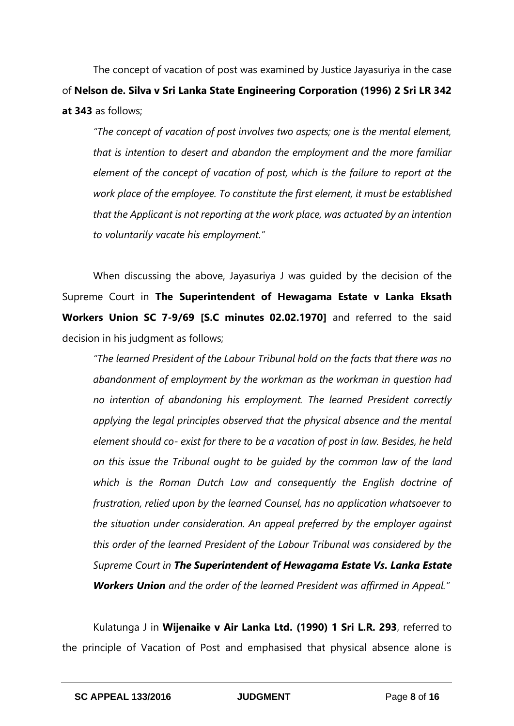The concept of vacation of post was examined by Justice Jayasuriya in the case of **Nelson de. Silva v Sri Lanka State Engineering Corporation (1996) 2 Sri LR 342 at 343** as follows;

*"The concept of vacation of post involves two aspects; one is the mental element, that is intention to desert and abandon the employment and the more familiar element of the concept of vacation of post, which is the failure to report at the work place of the employee. To constitute the first element, it must be established that the Applicant is not reporting at the work place, was actuated by an intention to voluntarily vacate his employment."*

When discussing the above, Jayasuriya J was guided by the decision of the Supreme Court in **The Superintendent of Hewagama Estate v Lanka Eksath Workers Union SC 7-9/69 [S.C minutes 02.02.1970]** and referred to the said decision in his judgment as follows;

*"The learned President of the Labour Tribunal hold on the facts that there was no abandonment of employment by the workman as the workman in question had no intention of abandoning his employment. The learned President correctly applying the legal principles observed that the physical absence and the mental element should co- exist for there to be a vacation of post in law. Besides, he held on this issue the Tribunal ought to be guided by the common law of the land which is the Roman Dutch Law and consequently the English doctrine of frustration, relied upon by the learned Counsel, has no application whatsoever to the situation under consideration. An appeal preferred by the employer against this order of the learned President of the Labour Tribunal was considered by the Supreme Court in The Superintendent of Hewagama Estate Vs. Lanka Estate Workers Union and the order of the learned President was affirmed in Appeal."*

Kulatunga J in **Wijenaike v Air Lanka Ltd. (1990) 1 Sri L.R. 293**, referred to the principle of Vacation of Post and emphasised that physical absence alone is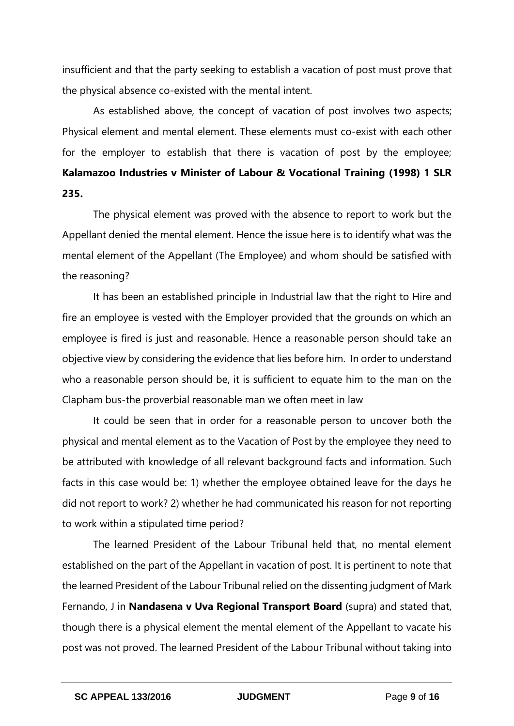insufficient and that the party seeking to establish a vacation of post must prove that the physical absence co-existed with the mental intent.

As established above, the concept of vacation of post involves two aspects; Physical element and mental element. These elements must co-exist with each other for the employer to establish that there is vacation of post by the employee; **Kalamazoo Industries v Minister of Labour & Vocational Training (1998) 1 SLR 235.**

The physical element was proved with the absence to report to work but the Appellant denied the mental element. Hence the issue here is to identify what was the mental element of the Appellant (The Employee) and whom should be satisfied with the reasoning?

It has been an established principle in Industrial law that the right to Hire and fire an employee is vested with the Employer provided that the grounds on which an employee is fired is just and reasonable. Hence a reasonable person should take an objective view by considering the evidence that lies before him. In order to understand who a reasonable person should be, it is sufficient to equate him to the man on the Clapham bus-the proverbial reasonable man we often meet in law

It could be seen that in order for a reasonable person to uncover both the physical and mental element as to the Vacation of Post by the employee they need to be attributed with knowledge of all relevant background facts and information. Such facts in this case would be: 1) whether the employee obtained leave for the days he did not report to work? 2) whether he had communicated his reason for not reporting to work within a stipulated time period?

The learned President of the Labour Tribunal held that, no mental element established on the part of the Appellant in vacation of post. It is pertinent to note that the learned President of the Labour Tribunal relied on the dissenting judgment of Mark Fernando, J in **Nandasena v Uva Regional Transport Board** (supra) and stated that, though there is a physical element the mental element of the Appellant to vacate his post was not proved. The learned President of the Labour Tribunal without taking into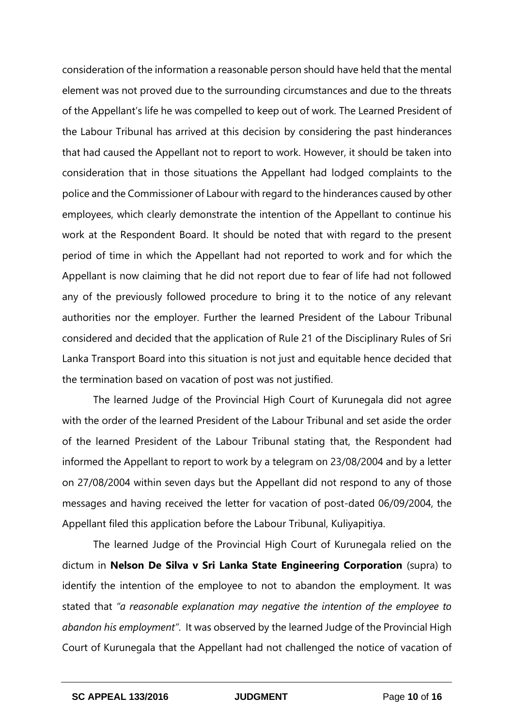consideration of the information a reasonable person should have held that the mental element was not proved due to the surrounding circumstances and due to the threats of the Appellant's life he was compelled to keep out of work. The Learned President of the Labour Tribunal has arrived at this decision by considering the past hinderances that had caused the Appellant not to report to work. However, it should be taken into consideration that in those situations the Appellant had lodged complaints to the police and the Commissioner of Labour with regard to the hinderances caused by other employees, which clearly demonstrate the intention of the Appellant to continue his work at the Respondent Board. It should be noted that with regard to the present period of time in which the Appellant had not reported to work and for which the Appellant is now claiming that he did not report due to fear of life had not followed any of the previously followed procedure to bring it to the notice of any relevant authorities nor the employer. Further the learned President of the Labour Tribunal considered and decided that the application of Rule 21 of the Disciplinary Rules of Sri Lanka Transport Board into this situation is not just and equitable hence decided that the termination based on vacation of post was not justified.

The learned Judge of the Provincial High Court of Kurunegala did not agree with the order of the learned President of the Labour Tribunal and set aside the order of the learned President of the Labour Tribunal stating that, the Respondent had informed the Appellant to report to work by a telegram on 23/08/2004 and by a letter on 27/08/2004 within seven days but the Appellant did not respond to any of those messages and having received the letter for vacation of post-dated 06/09/2004, the Appellant filed this application before the Labour Tribunal, Kuliyapitiya.

The learned Judge of the Provincial High Court of Kurunegala relied on the dictum in **Nelson De Silva v Sri Lanka State Engineering Corporation** (supra) to identify the intention of the employee to not to abandon the employment. It was stated that *"a reasonable explanation may negative the intention of the employee to abandon his employment"*. It was observed by the learned Judge of the Provincial High Court of Kurunegala that the Appellant had not challenged the notice of vacation of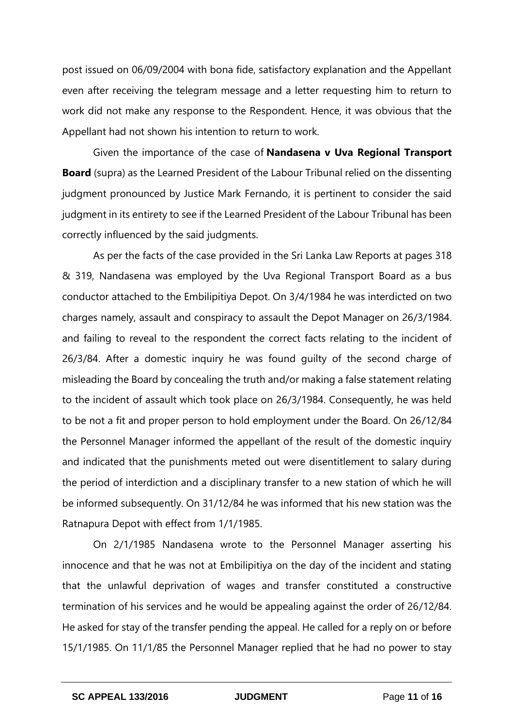post issued on 06/09/2004 with bona fide, satisfactory explanation and the Appellant even after receiving the telegram message and a letter requesting him to return to work did not make any response to the Respondent. Hence, it was obvious that the Appellant had not shown his intention to return to work.

Given the importance of the case of **Nandasena v Uva Regional Transport Board** (supra) as the Learned President of the Labour Tribunal relied on the dissenting judgment pronounced by Justice Mark Fernando, it is pertinent to consider the said judgment in its entirety to see if the Learned President of the Labour Tribunal has been correctly influenced by the said judgments.

As per the facts of the case provided in the Sri Lanka Law Reports at pages 318 & 319, Nandasena was employed by the Uva Regional Transport Board as a bus conductor attached to the Embilipitiya Depot. On 3/4/1984 he was interdicted on two charges namely, assault and conspiracy to assault the Depot Manager on 26/3/1984. and failing to reveal to the respondent the correct facts relating to the incident of 26/3/84. After a domestic inquiry he was found guilty of the second charge of misleading the Board by concealing the truth and/or making a false statement relating to the incident of assault which took place on 26/3/1984. Consequently, he was held to be not a fit and proper person to hold employment under the Board. On 26/12/84 the Personnel Manager informed the appellant of the result of the domestic inquiry and indicated that the punishments meted out were disentitlement to salary during the period of interdiction and a disciplinary transfer to a new station of which he will be informed subsequently. On 31/12/84 he was informed that his new station was the Ratnapura Depot with effect from 1/1/1985.

On 2/1/1985 Nandasena wrote to the Personnel Manager asserting his innocence and that he was not at Embilipitiya on the day of the incident and stating that the unlawful deprivation of wages and transfer constituted a constructive termination of his services and he would be appealing against the order of 26/12/84. He asked for stay of the transfer pending the appeal. He called for a reply on or before 15/1/1985. On 11/1/85 the Personnel Manager replied that he had no power to stay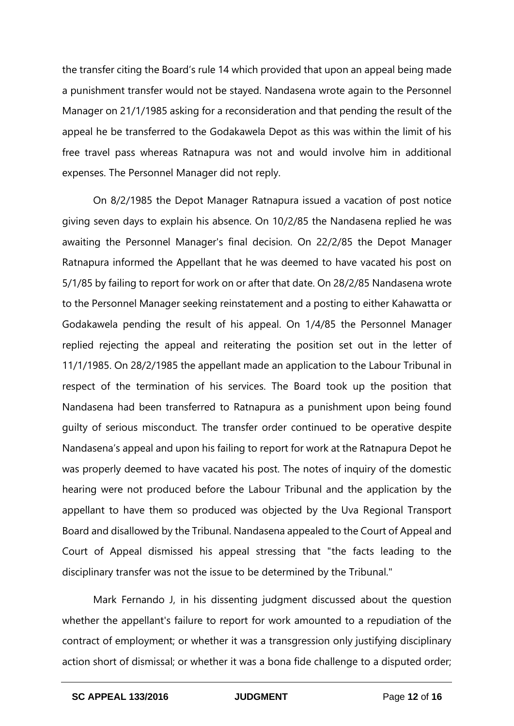the transfer citing the Board's rule 14 which provided that upon an appeal being made a punishment transfer would not be stayed. Nandasena wrote again to the Personnel Manager on 21/1/1985 asking for a reconsideration and that pending the result of the appeal he be transferred to the Godakawela Depot as this was within the limit of his free travel pass whereas Ratnapura was not and would involve him in additional expenses. The Personnel Manager did not reply.

On 8/2/1985 the Depot Manager Ratnapura issued a vacation of post notice giving seven days to explain his absence. On 10/2/85 the Nandasena replied he was awaiting the Personnel Manager's final decision. On 22/2/85 the Depot Manager Ratnapura informed the Appellant that he was deemed to have vacated his post on 5/1/85 by failing to report for work on or after that date. On 28/2/85 Nandasena wrote to the Personnel Manager seeking reinstatement and a posting to either Kahawatta or Godakawela pending the result of his appeal. On 1/4/85 the Personnel Manager replied rejecting the appeal and reiterating the position set out in the letter of 11/1/1985. On 28/2/1985 the appellant made an application to the Labour Tribunal in respect of the termination of his services. The Board took up the position that Nandasena had been transferred to Ratnapura as a punishment upon being found guilty of serious misconduct. The transfer order continued to be operative despite Nandasena's appeal and upon his failing to report for work at the Ratnapura Depot he was properly deemed to have vacated his post. The notes of inquiry of the domestic hearing were not produced before the Labour Tribunal and the application by the appellant to have them so produced was objected by the Uva Regional Transport Board and disallowed by the Tribunal. Nandasena appealed to the Court of Appeal and Court of Appeal dismissed his appeal stressing that "the facts leading to the disciplinary transfer was not the issue to be determined by the Tribunal."

Mark Fernando J, in his dissenting judgment discussed about the question whether the appellant's failure to report for work amounted to a repudiation of the contract of employment; or whether it was a transgression only justifying disciplinary action short of dismissal; or whether it was a bona fide challenge to a disputed order;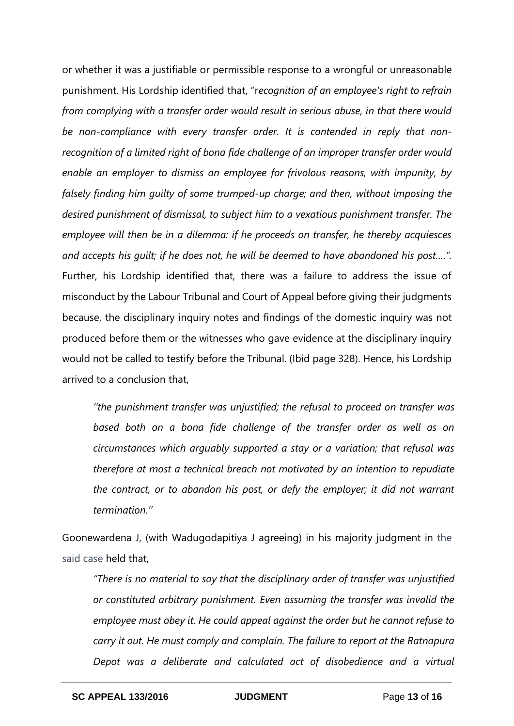or whether it was a justifiable or permissible response to a wrongful or unreasonable punishment. His Lordship identified that, "r*ecognition of an employee's right to refrain from complying with a transfer order would result in serious abuse, in that there would be non-compliance with every transfer order. It is contended in reply that nonrecognition of a limited right of bona fide challenge of an improper transfer order would enable an employer to dismiss an employee for frivolous reasons, with impunity, by falsely finding him guilty of some trumped-up charge; and then, without imposing the desired punishment of dismissal, to subject him to a vexatious punishment transfer. The employee will then be in a dilemma: if he proceeds on transfer, he thereby acquiesces and accepts his guilt; if he does not, he will be deemed to have abandoned his post….".*  Further, his Lordship identified that, there was a failure to address the issue of misconduct by the Labour Tribunal and Court of Appeal before giving their judgments because, the disciplinary inquiry notes and findings of the domestic inquiry was not produced before them or the witnesses who gave evidence at the disciplinary inquiry would not be called to testify before the Tribunal. (Ibid page 328). Hence, his Lordship arrived to a conclusion that,

*''the punishment transfer was unjustified; the refusal to proceed on transfer was based both on a bona fide challenge of the transfer order as well as on circumstances which arguably supported a stay or a variation; that refusal was therefore at most a technical breach not motivated by an intention to repudiate the contract, or to abandon his post, or defy the employer; it did not warrant termination.''*

Goonewardena J, (with Wadugodapitiya J agreeing) in his majority judgment in the said case held that,

*"There is no material to say that the disciplinary order of transfer was unjustified or constituted arbitrary punishment. Even assuming the transfer was invalid the employee must obey it. He could appeal against the order but he cannot refuse to carry it out. He must comply and complain. The failure to report at the Ratnapura Depot was a deliberate and calculated act of disobedience and a virtual*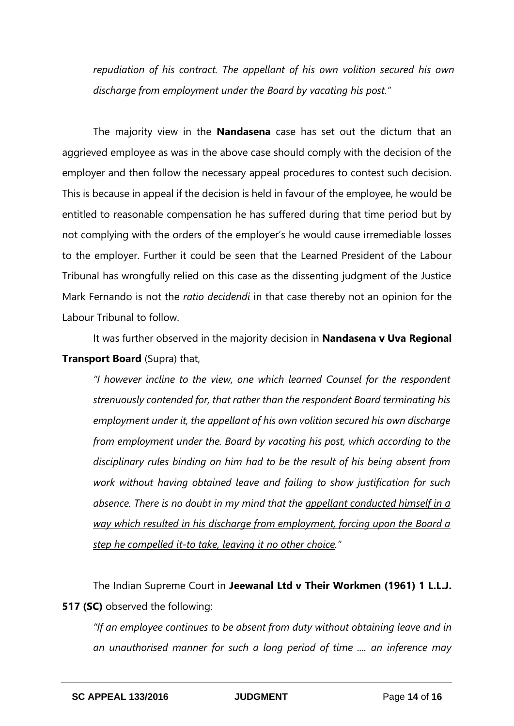*repudiation of his contract. The appellant of his own volition secured his own discharge from employment under the Board by vacating his post."*

The majority view in the **Nandasena** case has set out the dictum that an aggrieved employee as was in the above case should comply with the decision of the employer and then follow the necessary appeal procedures to contest such decision. This is because in appeal if the decision is held in favour of the employee, he would be entitled to reasonable compensation he has suffered during that time period but by not complying with the orders of the employer's he would cause irremediable losses to the employer. Further it could be seen that the Learned President of the Labour Tribunal has wrongfully relied on this case as the dissenting judgment of the Justice Mark Fernando is not the *ratio decidendi* in that case thereby not an opinion for the Labour Tribunal to follow.

It was further observed in the majority decision in **Nandasena v Uva Regional Transport Board** (Supra) that,

*"I however incline to the view, one which learned Counsel for the respondent strenuously contended for, that rather than the respondent Board terminating his employment under it, the appellant of his own volition secured his own discharge from employment under the. Board by vacating his post, which according to the disciplinary rules binding on him had to be the result of his being absent from work without having obtained leave and failing to show justification for such absence. There is no doubt in my mind that the appellant conducted himself in a way which resulted in his discharge from employment, forcing upon the Board a step he compelled it-to take, leaving it no other choice."*

The Indian Supreme Court in **Jeewanal Ltd v Their Workmen (1961) 1 L.L.J. 517 (SC)** observed the following:

*"If an employee continues to be absent from duty without obtaining leave and in an unauthorised manner for such a long period of time .... an inference may*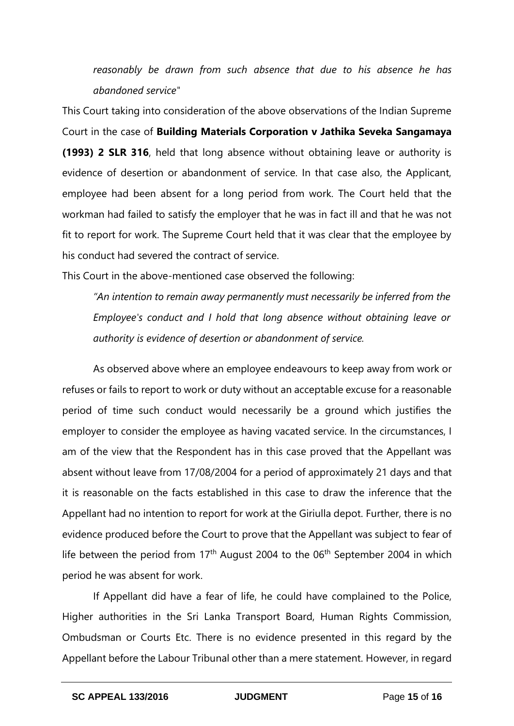*reasonably be drawn from such absence that due to his absence he has abandoned service"*

This Court taking into consideration of the above observations of the Indian Supreme Court in the case of **Building Materials Corporation v Jathika Seveka Sangamaya (1993) 2 SLR 316**, held that long absence without obtaining leave or authority is evidence of desertion or abandonment of service. In that case also, the Applicant, employee had been absent for a long period from work. The Court held that the workman had failed to satisfy the employer that he was in fact ill and that he was not fit to report for work. The Supreme Court held that it was clear that the employee by his conduct had severed the contract of service.

This Court in the above-mentioned case observed the following:

*"An intention to remain away permanently must necessarily be inferred from the Employee's conduct and I hold that long absence without obtaining leave or authority is evidence of desertion or abandonment of service.*

As observed above where an employee endeavours to keep away from work or refuses or fails to report to work or duty without an acceptable excuse for a reasonable period of time such conduct would necessarily be a ground which justifies the employer to consider the employee as having vacated service. In the circumstances, I am of the view that the Respondent has in this case proved that the Appellant was absent without leave from 17/08/2004 for a period of approximately 21 days and that it is reasonable on the facts established in this case to draw the inference that the Appellant had no intention to report for work at the Giriulla depot. Further, there is no evidence produced before the Court to prove that the Appellant was subject to fear of life between the period from  $17<sup>th</sup>$  August 2004 to the 06<sup>th</sup> September 2004 in which period he was absent for work.

If Appellant did have a fear of life, he could have complained to the Police, Higher authorities in the Sri Lanka Transport Board, Human Rights Commission, Ombudsman or Courts Etc. There is no evidence presented in this regard by the Appellant before the Labour Tribunal other than a mere statement. However, in regard